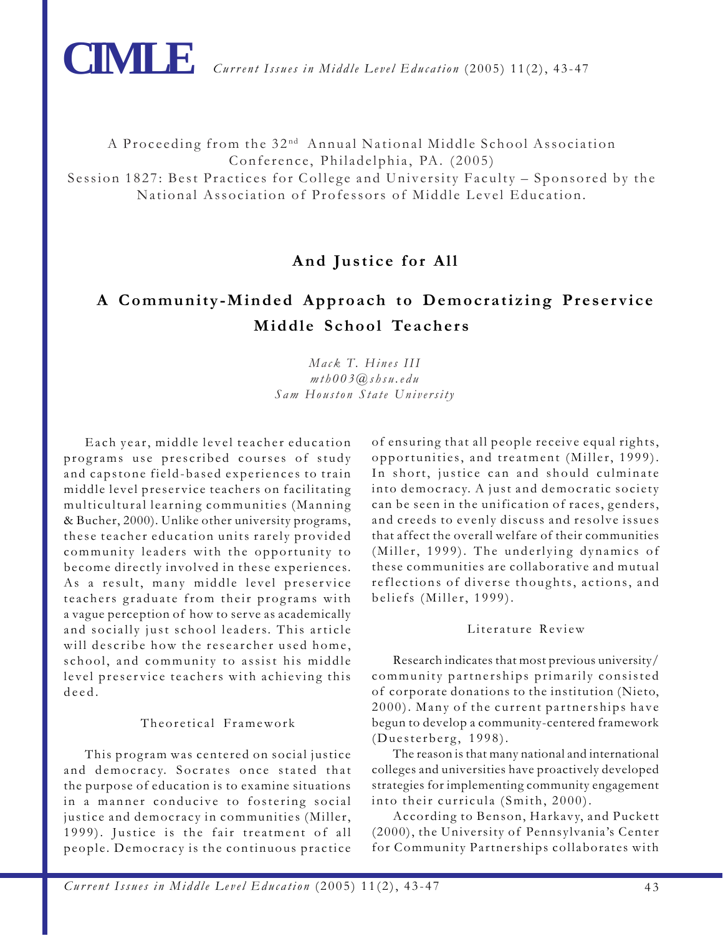

**CIMLE** *Current Issues in Middle Level Education* (2005) 11(2), 43-47

A Proceeding from the 32 nd Annual National Middle School Association Conference, Philadelphia, PA. (2005) Session 1827: Best Practices for College and University Faculty – Sponsored by the National Association of Professors of Middle Level Education.

# **And Justice for All**

# **A Community-Minded Approach to Democratizing Preservice Middle School Teachers**

# *Mack T. Hines III mth003@shsu.edu Sam Houston State University*

Each year, middle level teacher education programs use prescribed courses of study and capstone field-based experiences to train middle level preservice teachers on facilitating multicultural learning communities (Manning & Bucher, 2000). Unlike other university programs, these teacher education units rarely provided community leaders with the opportunity to become directly involved in these experiences. As a result, many middle level preservice teachers graduate from their programs with a vague perception of how to serve as academically and socially just school leaders. This article will describe how the researcher used home, school, and community to assist his middle level preservice teachers with achieving this deed.

# Theoretical Framework

This program was centered on social justice and democracy. Socrates once stated that the purpose of education is to examine situations in a manner conducive to fostering social justice and democracy in communities (Miller, 1999). Justice is the fair treatment of all people. Democracy is the continuous practice

of ensuring that all people receive equal rights, opportunities, and treatment (Miller, 1999). In short, justice can and should culminate into democracy. A just and democratic society can be seen in the unification of races, genders, and creeds to evenly discuss and resolve issues that affect the overall welfare of their communities (Miller, 1999). The underlying dynamics of these communities are collaborative and mutual reflections of diverse thoughts, actions, and beliefs (Miller, 1999).

#### Literature Review

Research indicates that most previous university/ community partnerships primarily consisted of corporate donations to the institution (Nieto, 2000). Many of the current partnerships have begun to develop a community-centered framework (Duesterberg, 1998).

The reason is that many national and international colleges and universities have proactively developed strategies for implementing community engagement into their curricula (Smith, 2000).

According to Benson, Harkavy, and Puckett (2000), the University of Pennsylvania's Center for Community Partnerships collaborates with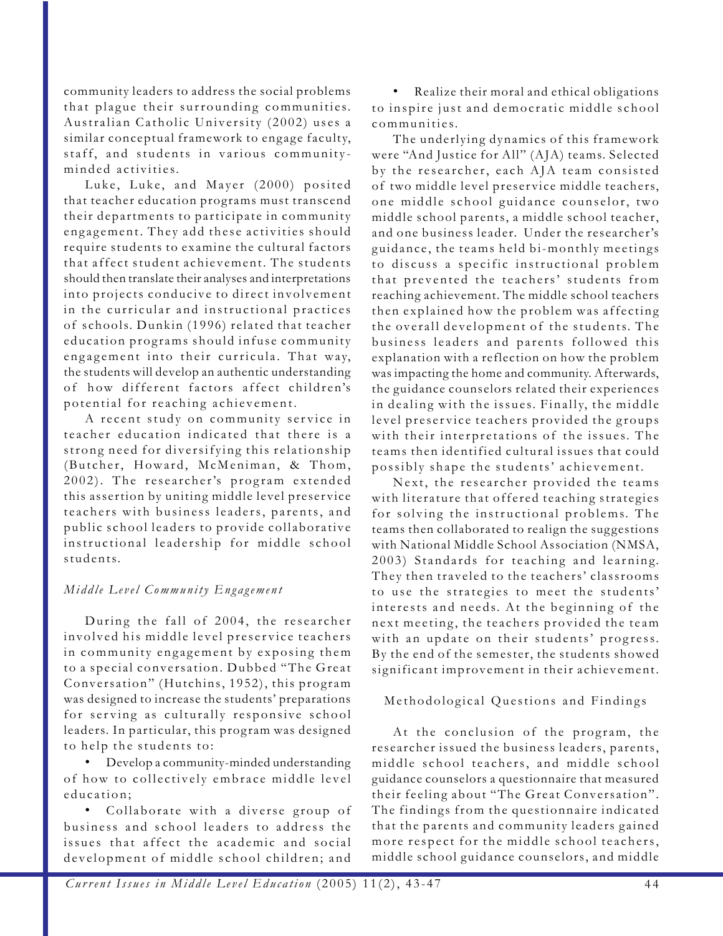community leaders to address the social problems that plague their surrounding communities. Australian Catholic University (2002) uses a similar conceptual framework to engage faculty, staff, and students in various communityminded activities.

Luke, Luke, and Mayer (2000) posited that teacher education programs must transcend their departments to participate in community engagement. They add these activities should require students to examine the cultural factors that affect student achievement. The students should then translate their analyses and interpretations into projects conducive to direct involvement in the curricular and instructional practices of schools. Dunkin (1996) related that teacher education programs should infuse community engagement into their curricula. That way, the students will develop an authentic understanding of how different factors affect children's potential for reaching achievement.

A recent study on community service in teacher education indicated that there is a strong need for diversifying this relationship (Butcher, Howard, McMeniman, & Thom, 2002). The researcher's program extended this assertion by uniting middle level preservice teachers with business leaders, parents, and public school leaders to provide collaborative instructional leadership for middle school students.

# *Middle Level Community Engagement*

During the fall of 2004, the researcher involved his middle level preservice teachers in community engagement by exposing them to a special conversation. Dubbed "The Great Conversation" (Hutchins, 1952), this program was designed to increase the students' preparations for serving as culturally responsive school leaders. In particular, this program was designed to help the students to:

• Develop a community-minded understanding of how to collectively embrace middle level education;

• Collaborate with a diverse group of business and school leaders to address the issues that affect the academic and social development of middle school children; and

• Realize their moral and ethical obligations to inspire just and democratic middle school communities.

The underlying dynamics of this framework were "And Justice for All" (AJA) teams. Selected by the researcher, each AJA team consisted of two middle level preservice middle teachers, one middle school guidance counselor, two middle school parents, a middle school teacher, and one business leader. Under the researcher's guidance, the teams held bi-monthly meetings to discuss a specific instructional problem that prevented the teachers' students from reaching achievement. The middle school teachers then explained how the problem was affecting the overall development of the students. The business leaders and parents followed this explanation with a reflection on how the problem was impacting the home and community. Afterwards, the guidance counselors related their experiences in dealing with the issues. Finally, the middle level preservice teachers provided the groups with their interpretations of the issues. The teams then identified cultural issues that could possibly shape the students' achievement.

Next, the researcher provided the teams with literature that offered teaching strategies for solving the instructional problems. The teams then collaborated to realign the suggestions with National Middle School Association (NMSA, 2003) Standards for teaching and learning. They then traveled to the teachers' classrooms to use the strategies to meet the students' interests and needs. At the beginning of the next meeting, the teachers provided the team with an update on their students' progress. By the end of the semester, the students showed significant improvement in their achievement.

# Methodological Questions and Findings

At the conclusion of the program, the researcher issued the business leaders, parents, middle school teachers, and middle school guidance counselors a questionnaire that measured their feeling about "The Great Conversation". The findings from the questionnaire indicated that the parents and community leaders gained more respect for the middle school teachers, middle school guidance counselors, and middle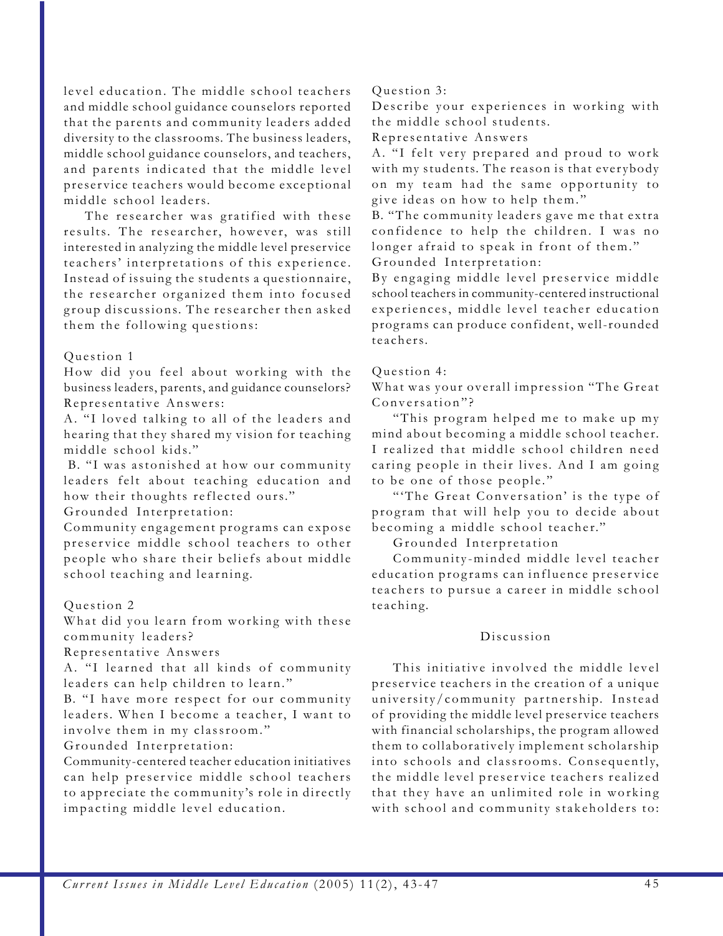level education. The middle school teachers and middle school guidance counselors reported that the parents and community leaders added diversity to the classrooms. The business leaders, middle school guidance counselors, and teachers, and parents indicated that the middle level preservice teachers would become exceptional middle school leaders.

The researcher was gratified with these results. The researcher, however, was still interested in analyzing the middle level preservice teachers' interpretations of this experience. Instead of issuing the students a questionnaire, the researcher organized them into focused group discussions. The researcher then asked them the following questions:

#### Question 1

How did you feel about working with the business leaders, parents, and guidance counselors? Representative Answers:

A. "I loved talking to all of the leaders and hearing that they shared my vision for teaching middle school kids."

 B. "I was astonished at how our community leaders felt about teaching education and how their thoughts reflected ours."

Grounded Interpretation:

Community engagement programs can expose preservice middle school teachers to other people who share their beliefs about middle school teaching and learning.

#### Question 2

What did you learn from working with these community leaders?

Representative Answers

A. "I learned that all kinds of community leaders can help children to learn."

B. "I have more respect for our community leaders. When I become a teacher, I want to involve them in my classroom."

Grounded Interpretation:

Community-centered teacher education initiatives can help preservice middle school teachers to appreciate the community's role in directly impacting middle level education.

#### Question 3:

Describe your experiences in working with the middle school students.

Representative Answers

A. "I felt very prepared and proud to work with my students. The reason is that everybody on my team had the same opportunity to give ideas on how to help them."

B. "The community leaders gave me that extra confidence to help the children. I was no longer afraid to speak in front of them." Grounded Interpretation:

By engaging middle level preservice middle school teachers in community-centered instructional experiences, middle level teacher education programs can produce confident, well-rounded teachers.

#### Question 4:

What was your overall impression "The Great Conversation"?

"This program helped me to make up my mind about becoming a middle school teacher. I realized that middle school children need caring people in their lives. And I am going to be one of those people."

"'The Great Conversation' is the type of program that will help you to decide about becoming a middle school teacher."

Grounded Interpretation

Community-minded middle level teacher education programs can influence preservice teachers to pursue a career in middle school teaching.

#### Discussion

This initiative involved the middle level preservice teachers in the creation of a unique university/community partnership. Instead of providing the middle level preservice teachers with financial scholarships, the program allowed them to collaboratively implement scholarship into schools and classrooms. Consequently, the middle level preservice teachers realized that they have an unlimited role in working with school and community stakeholders to: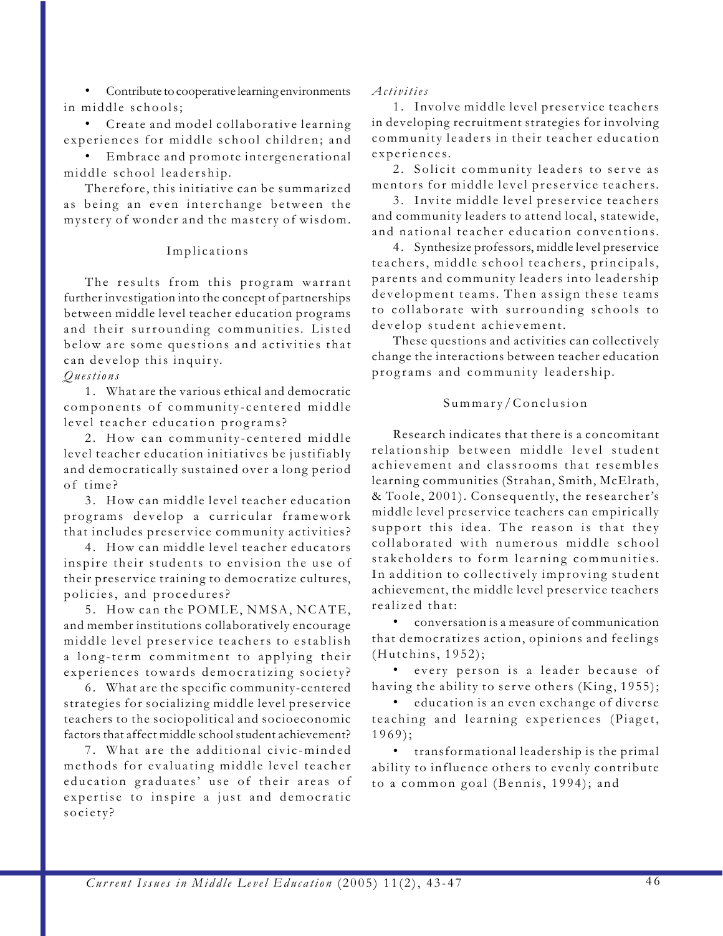• Contribute to cooperative learning environments in middle schools;

• Create and model collaborative learning experiences for middle school children; and

Embrace and promote intergenerational middle school leadership.

Therefore, this initiative can be summarized as being an even interchange between the mystery of wonder and the mastery of wisdom.

# Implications

The results from this program warrant further investigation into the concept of partnerships between middle level teacher education programs and their surrounding communities. Listed below are some questions and activities that can develop this inquiry.

*Questions*

1. What are the various ethical and democratic components of community-centered middle level teacher education programs?

2. How can community-centered middle level teacher education initiatives be justifiably and democratically sustained over a long period of time?

3. How can middle level teacher education programs develop a curricular framework that includes preservice community activities?

4. How can middle level teacher educators inspire their students to envision the use of their preservice training to democratize cultures, policies, and procedures?

5. How can the POMLE, NMSA, NCATE, and member institutions collaboratively encourage middle level preservice teachers to establish a long-term commitment to applying their experiences towards democratizing society?

6. What are the specific community-centered strategies for socializing middle level preservice teachers to the sociopolitical and socioeconomic factors that affect middle school student achievement?

7. What are the additional civic-minded methods for evaluating middle level teacher education graduates' use of their areas of expertise to inspire a just and democratic society?

# *Activities*

1. Involve middle level preservice teachers in developing recruitment strategies for involving community leaders in their teacher education experiences.

2. Solicit community leaders to serve as mentors for middle level preservice teachers.

3. Invite middle level preservice teachers and community leaders to attend local, statewide, and national teacher education conventions.

4 . Synthesize professors, middle level preservice teachers, middle school teachers, principals, parents and community leaders into leadership development teams. Then assign these teams to collaborate with surrounding schools to develop student achievement.

These questions and activities can collectively change the interactions between teacher education programs and community leadership.

# Summary/Conclusion

Research indicates that there is a concomitant relationship between middle level student achievement and classrooms that resembles learning communities (Strahan, Smith, McElrath, & Toole, 2001). Consequently, the researcher's middle level preservice teachers can empirically support this idea. The reason is that they collaborated with numerous middle school stakeholders to form learning communities. In addition to collectively improving student achievement, the middle level preservice teachers realized that:

• conversation is a measure of communication that democratizes action, opinions and feelings (Hutchins, 1952);

every person is a leader because of having the ability to serve others (King, 1955);

• education is an even exchange of diverse teaching and learning experiences (Piaget, 1969);

• transformational leadership is the primal ability to influence others to evenly contribute to a common goal (Bennis, 1994); and